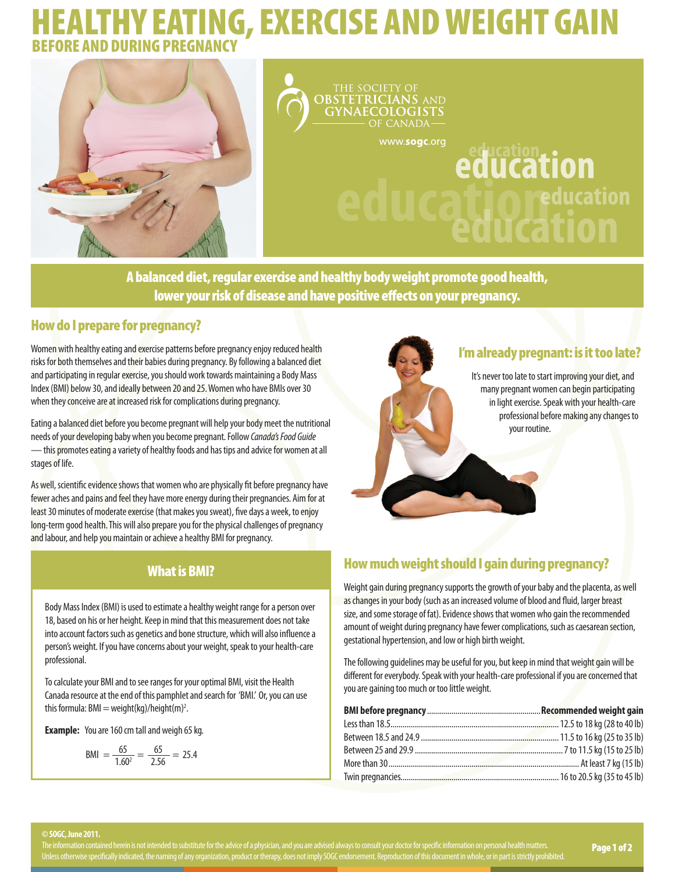# THY EATING, EXERCISE AND WEIGHT GAIN. BEFORE AND DURING PREGNANCY



**OBSTETRICIANS AND GYNAECOLOGISTS** OF CANADAwww.sogc.org education

A balanced diet, regular exercise and healthy body weight promote good health, lower your risk of disease and have positive effects on your pregnancy.

## How do I prepare for pregnancy?

Women with healthy eating and exercise patterns before pregnancy enjoy reduced health risks for both themselves and their babies during pregnancy. By following a balanced diet and participating in regular exercise, you should work towards maintaining a Body Mass Index (BMI) below 30, and ideally between 20 and 25. Women who have BMIs over 30 when they conceive are at increased risk for complications during pregnancy.

Eating a balanced diet before you become pregnant will help your body meet the nutritional needs of your developing baby when you become pregnant. Follow *Canada's Food Guide* — this promotes eating a variety of healthy foods and has tips and advice for women at all stages of life.

As well, scientific evidence shows that women who are physically fit before pregnancy have fewer aches and pains and feel they have more energy during their pregnancies. Aim for at least 30 minutes of moderate exercise (that makes you sweat), five days a week, to enjoy long-term good health. This will also prepare you for the physical challenges of pregnancy and labour, and help you maintain or achieve a healthy BMI for pregnancy.

# What is BMI?

Body Mass Index (BMI) is used to estimate a healthy weight range for a person over 18, based on his or her height. Keep in mind that this measurement does not take into account factors such as genetics and bone structure, which will also influence a person's weight. If you have concerns about your weight, speak to your health-care professional.

To calculate your BMI and to see ranges for your optimal BMI, visit the Health Canada resource at the end of this pamphlet and search for 'BMI.' Or, you can use this formula:  $BMI = weight(kq)/height(m)^2$ . .

**Example:** You are 160 cm tall and weigh 65 kg.

$$
BMI = \frac{65}{1.60^2} = \frac{65}{2.56} = 25.4
$$

# I'm already pregnant: is it too late?

**tioneducation** 

It's never too late to start improving your diet, and many pregnant women can begin participating in light exercise. Speak with your health-care professional before making any changes to your routine.

# How much weight should I gain during pregnancy?

Weight gain during pregnancy supports the growth of your baby and the placenta, as well as changes in your body (such as an increased volume of blood and fluid, larger breast size, and some storage of fat). Evidence shows that women who gain the recommended amount of weight during pregnancy have fewer complications, such as caesarean section, gestational hypertension, and low or high birth weight.

The following guidelines may be useful for you, but keep in mind that weight gain will be different for everybody. Speak with your health-care professional if you are concerned that you are gaining too much or too little weight.

#### **© SOGC, June 2011.**

The information contained herein is not intended to substitute for the advice of a physician, and you are advised always to consult your doctor for specific information on personal health matters. The information contained herein is not intended to substitute for the advice of a physician, and you are advised always to consult your doctor for specific information on personal health matters. **Page 1 of 2**<br>Unless othe